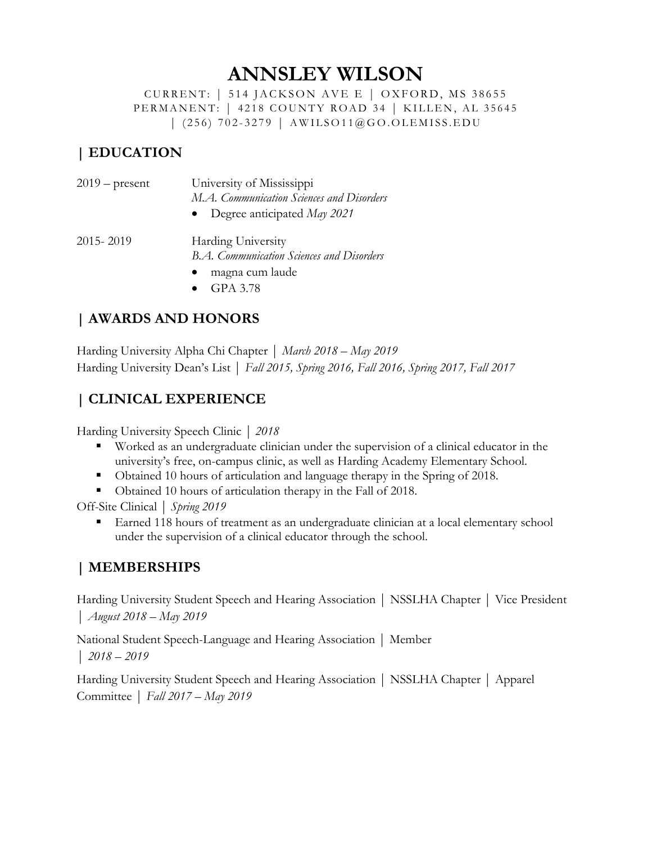# **ANNSLEY WILSON**

CURRENT: | 514 JACKSON AVE E | OXFORD, MS 38655 PERMANENT: | 4218 COUNTY ROAD 34 | KILLEN, AL 35645 | (256) 702 - 3279 | AWILSO11@GO.OLEMISS.EDU

#### **| EDUCATION**

| $2019$ – present | University of Mississippi<br>M.A. Communication Sciences and Disorders<br>• Degree anticipated $May\ 2021$ |
|------------------|------------------------------------------------------------------------------------------------------------|
| 2015 - 2019      | <b>Harding University</b>                                                                                  |

*B.A. Communication Sciences and Disorders* 

- magna cum laude
- GPA 3.78

#### **| AWARDS AND HONORS**

Harding University Alpha Chi Chapter | *March 2018 – May 2019*  Harding University Dean's List | *Fall 2015, Spring 2016, Fall 2016, Spring 2017, Fall 2017*

#### **| CLINICAL EXPERIENCE**

Harding University Speech Clinic | *2018*

- § Worked as an undergraduate clinician under the supervision of a clinical educator in the university's free, on-campus clinic, as well as Harding Academy Elementary School.
- Obtained 10 hours of articulation and language therapy in the Spring of 2018.
- § Obtained 10 hours of articulation therapy in the Fall of 2018.

Off-Site Clinical | *Spring 2019*

■ Earned 118 hours of treatment as an undergraduate clinician at a local elementary school under the supervision of a clinical educator through the school.

#### **| MEMBERSHIPS**

Harding University Student Speech and Hearing Association | NSSLHA Chapter | Vice President | *August 2018 – May 2019*

National Student Speech-Language and Hearing Association | Member | *2018 – 2019*

Harding University Student Speech and Hearing Association | NSSLHA Chapter | Apparel Committee | *Fall 2017 – May 2019*